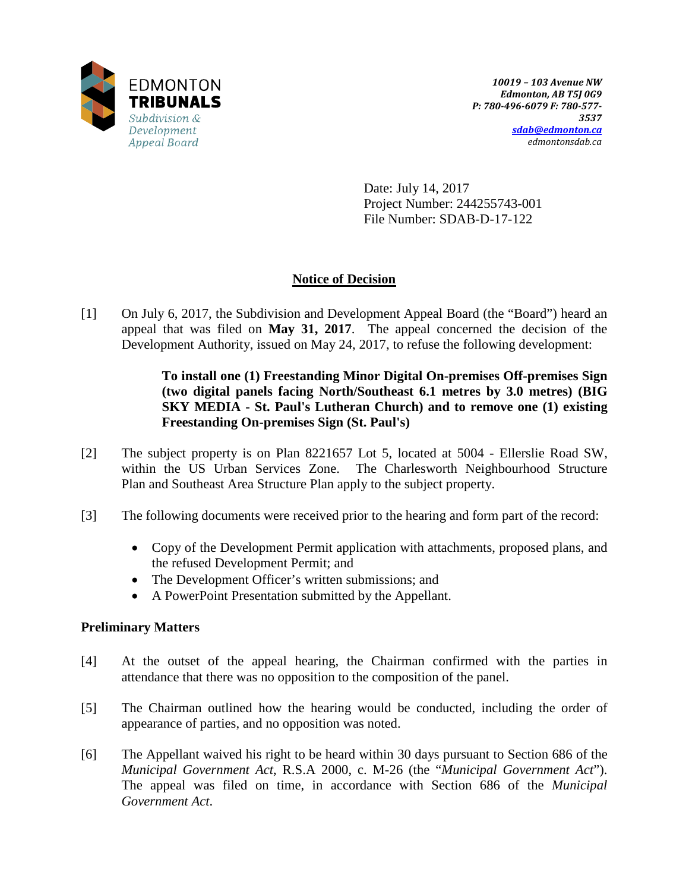

Date: July 14, 2017 Project Number: 244255743-001 File Number: SDAB-D-17-122

# **Notice of Decision**

[1] On July 6, 2017, the Subdivision and Development Appeal Board (the "Board") heard an appeal that was filed on **May 31, 2017**. The appeal concerned the decision of the Development Authority, issued on May 24, 2017, to refuse the following development:

> **To install one (1) Freestanding Minor Digital On-premises Off-premises Sign (two digital panels facing North/Southeast 6.1 metres by 3.0 metres) (BIG SKY MEDIA - St. Paul's Lutheran Church) and to remove one (1) existing Freestanding On-premises Sign (St. Paul's)**

- [2] The subject property is on Plan 8221657 Lot 5, located at 5004 Ellerslie Road SW, within the US Urban Services Zone. The Charlesworth Neighbourhood Structure Plan and Southeast Area Structure Plan apply to the subject property.
- [3] The following documents were received prior to the hearing and form part of the record:
	- Copy of the Development Permit application with attachments, proposed plans, and the refused Development Permit; and
	- The Development Officer's written submissions; and
	- A PowerPoint Presentation submitted by the Appellant.

## **Preliminary Matters**

- [4] At the outset of the appeal hearing, the Chairman confirmed with the parties in attendance that there was no opposition to the composition of the panel.
- [5] The Chairman outlined how the hearing would be conducted, including the order of appearance of parties, and no opposition was noted.
- [6] The Appellant waived his right to be heard within 30 days pursuant to Section 686 of the *Municipal Government Act*, R.S.A 2000, c. M-26 (the "*Municipal Government Act*"). The appeal was filed on time, in accordance with Section 686 of the *Municipal Government Act*.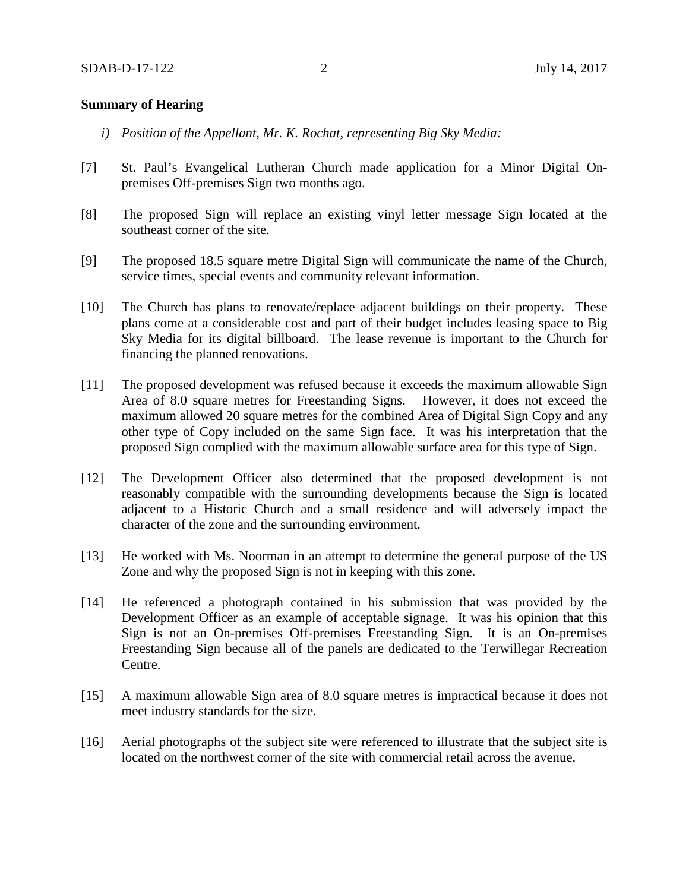### **Summary of Hearing**

- *i) Position of the Appellant, Mr. K. Rochat, representing Big Sky Media:*
- [7] St. Paul's Evangelical Lutheran Church made application for a Minor Digital Onpremises Off-premises Sign two months ago.
- [8] The proposed Sign will replace an existing vinyl letter message Sign located at the southeast corner of the site.
- [9] The proposed 18.5 square metre Digital Sign will communicate the name of the Church, service times, special events and community relevant information.
- [10] The Church has plans to renovate/replace adjacent buildings on their property. These plans come at a considerable cost and part of their budget includes leasing space to Big Sky Media for its digital billboard. The lease revenue is important to the Church for financing the planned renovations.
- [11] The proposed development was refused because it exceeds the maximum allowable Sign Area of 8.0 square metres for Freestanding Signs. However, it does not exceed the maximum allowed 20 square metres for the combined Area of Digital Sign Copy and any other type of Copy included on the same Sign face. It was his interpretation that the proposed Sign complied with the maximum allowable surface area for this type of Sign.
- [12] The Development Officer also determined that the proposed development is not reasonably compatible with the surrounding developments because the Sign is located adjacent to a Historic Church and a small residence and will adversely impact the character of the zone and the surrounding environment.
- [13] He worked with Ms. Noorman in an attempt to determine the general purpose of the US Zone and why the proposed Sign is not in keeping with this zone.
- [14] He referenced a photograph contained in his submission that was provided by the Development Officer as an example of acceptable signage. It was his opinion that this Sign is not an On-premises Off-premises Freestanding Sign. It is an On-premises Freestanding Sign because all of the panels are dedicated to the Terwillegar Recreation Centre.
- [15] A maximum allowable Sign area of 8.0 square metres is impractical because it does not meet industry standards for the size.
- [16] Aerial photographs of the subject site were referenced to illustrate that the subject site is located on the northwest corner of the site with commercial retail across the avenue.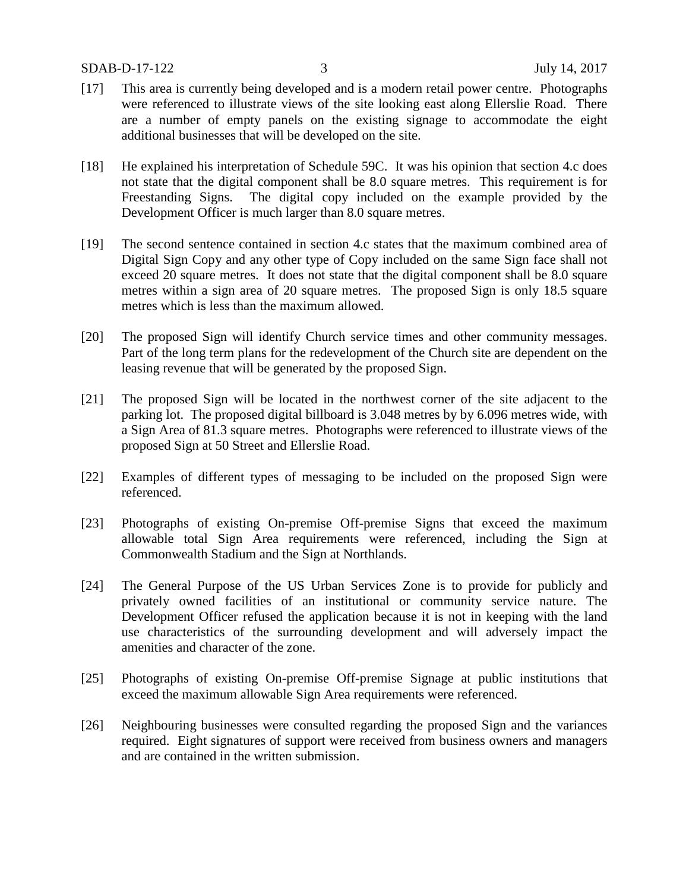- [17] This area is currently being developed and is a modern retail power centre. Photographs were referenced to illustrate views of the site looking east along Ellerslie Road. There are a number of empty panels on the existing signage to accommodate the eight additional businesses that will be developed on the site.
- [18] He explained his interpretation of Schedule 59C. It was his opinion that section 4.c does not state that the digital component shall be 8.0 square metres. This requirement is for Freestanding Signs. The digital copy included on the example provided by the Development Officer is much larger than 8.0 square metres.
- [19] The second sentence contained in section 4.c states that the maximum combined area of Digital Sign Copy and any other type of Copy included on the same Sign face shall not exceed 20 square metres. It does not state that the digital component shall be 8.0 square metres within a sign area of 20 square metres. The proposed Sign is only 18.5 square metres which is less than the maximum allowed.
- [20] The proposed Sign will identify Church service times and other community messages. Part of the long term plans for the redevelopment of the Church site are dependent on the leasing revenue that will be generated by the proposed Sign.
- [21] The proposed Sign will be located in the northwest corner of the site adjacent to the parking lot. The proposed digital billboard is 3.048 metres by by 6.096 metres wide, with a Sign Area of 81.3 square metres. Photographs were referenced to illustrate views of the proposed Sign at 50 Street and Ellerslie Road.
- [22] Examples of different types of messaging to be included on the proposed Sign were referenced.
- [23] Photographs of existing On-premise Off-premise Signs that exceed the maximum allowable total Sign Area requirements were referenced, including the Sign at Commonwealth Stadium and the Sign at Northlands.
- [24] The General Purpose of the US Urban Services Zone is to provide for publicly and privately owned facilities of an institutional or community service nature. The Development Officer refused the application because it is not in keeping with the land use characteristics of the surrounding development and will adversely impact the amenities and character of the zone.
- [25] Photographs of existing On-premise Off-premise Signage at public institutions that exceed the maximum allowable Sign Area requirements were referenced.
- [26] Neighbouring businesses were consulted regarding the proposed Sign and the variances required. Eight signatures of support were received from business owners and managers and are contained in the written submission.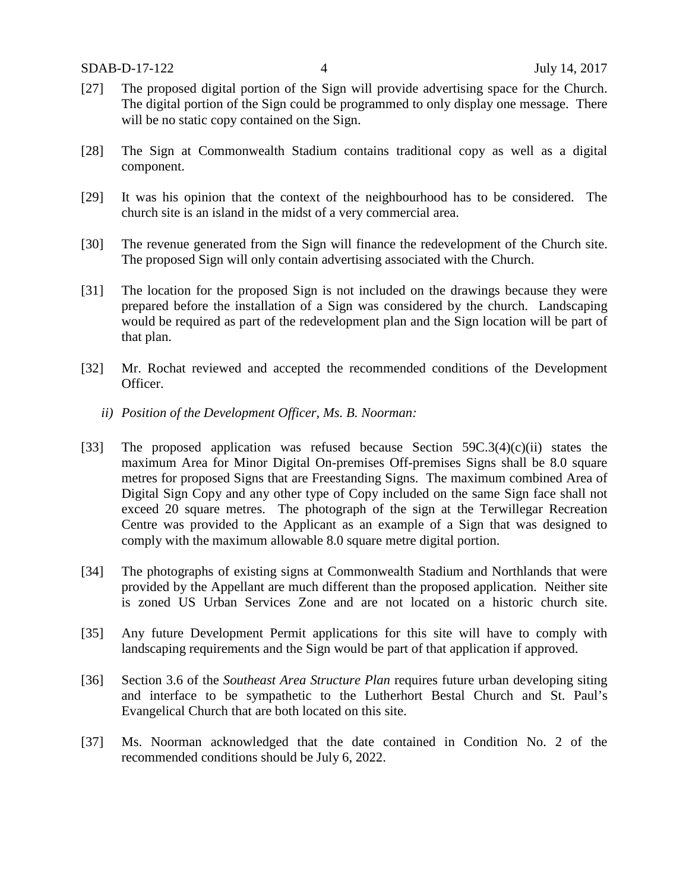- [27] The proposed digital portion of the Sign will provide advertising space for the Church. The digital portion of the Sign could be programmed to only display one message. There will be no static copy contained on the Sign.
- [28] The Sign at Commonwealth Stadium contains traditional copy as well as a digital component.
- [29] It was his opinion that the context of the neighbourhood has to be considered. The church site is an island in the midst of a very commercial area.
- [30] The revenue generated from the Sign will finance the redevelopment of the Church site. The proposed Sign will only contain advertising associated with the Church.
- [31] The location for the proposed Sign is not included on the drawings because they were prepared before the installation of a Sign was considered by the church. Landscaping would be required as part of the redevelopment plan and the Sign location will be part of that plan.
- [32] Mr. Rochat reviewed and accepted the recommended conditions of the Development Officer.
	- *ii) Position of the Development Officer, Ms. B. Noorman:*
- [33] The proposed application was refused because Section 59C.3(4)(c)(ii) states the maximum Area for Minor Digital On-premises Off-premises Signs shall be 8.0 square metres for proposed Signs that are Freestanding Signs. The maximum combined Area of Digital Sign Copy and any other type of Copy included on the same Sign face shall not exceed 20 square metres. The photograph of the sign at the Terwillegar Recreation Centre was provided to the Applicant as an example of a Sign that was designed to comply with the maximum allowable 8.0 square metre digital portion.
- [34] The photographs of existing signs at Commonwealth Stadium and Northlands that were provided by the Appellant are much different than the proposed application. Neither site is zoned US Urban Services Zone and are not located on a historic church site.
- [35] Any future Development Permit applications for this site will have to comply with landscaping requirements and the Sign would be part of that application if approved.
- [36] Section 3.6 of the *Southeast Area Structure Plan* requires future urban developing siting and interface to be sympathetic to the Lutherhort Bestal Church and St. Paul's Evangelical Church that are both located on this site.
- [37] Ms. Noorman acknowledged that the date contained in Condition No. 2 of the recommended conditions should be July 6, 2022.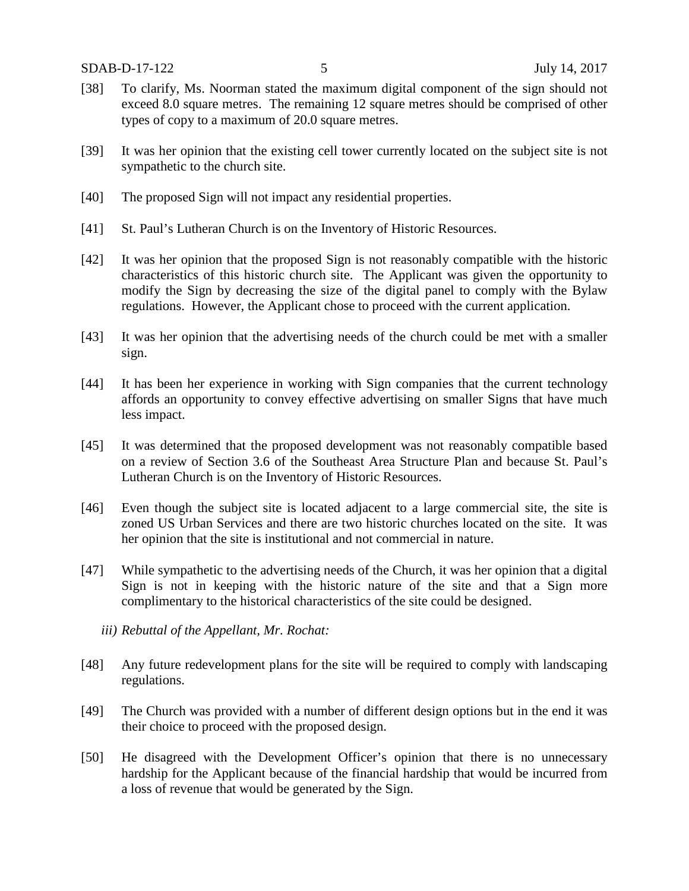- [38] To clarify, Ms. Noorman stated the maximum digital component of the sign should not exceed 8.0 square metres. The remaining 12 square metres should be comprised of other types of copy to a maximum of 20.0 square metres.
- [39] It was her opinion that the existing cell tower currently located on the subject site is not sympathetic to the church site.
- [40] The proposed Sign will not impact any residential properties.
- [41] St. Paul's Lutheran Church is on the Inventory of Historic Resources.
- [42] It was her opinion that the proposed Sign is not reasonably compatible with the historic characteristics of this historic church site. The Applicant was given the opportunity to modify the Sign by decreasing the size of the digital panel to comply with the Bylaw regulations. However, the Applicant chose to proceed with the current application.
- [43] It was her opinion that the advertising needs of the church could be met with a smaller sign.
- [44] It has been her experience in working with Sign companies that the current technology affords an opportunity to convey effective advertising on smaller Signs that have much less impact.
- [45] It was determined that the proposed development was not reasonably compatible based on a review of Section 3.6 of the Southeast Area Structure Plan and because St. Paul's Lutheran Church is on the Inventory of Historic Resources.
- [46] Even though the subject site is located adjacent to a large commercial site, the site is zoned US Urban Services and there are two historic churches located on the site. It was her opinion that the site is institutional and not commercial in nature.
- [47] While sympathetic to the advertising needs of the Church, it was her opinion that a digital Sign is not in keeping with the historic nature of the site and that a Sign more complimentary to the historical characteristics of the site could be designed.
	- *iii) Rebuttal of the Appellant, Mr. Rochat:*
- [48] Any future redevelopment plans for the site will be required to comply with landscaping regulations.
- [49] The Church was provided with a number of different design options but in the end it was their choice to proceed with the proposed design.
- [50] He disagreed with the Development Officer's opinion that there is no unnecessary hardship for the Applicant because of the financial hardship that would be incurred from a loss of revenue that would be generated by the Sign.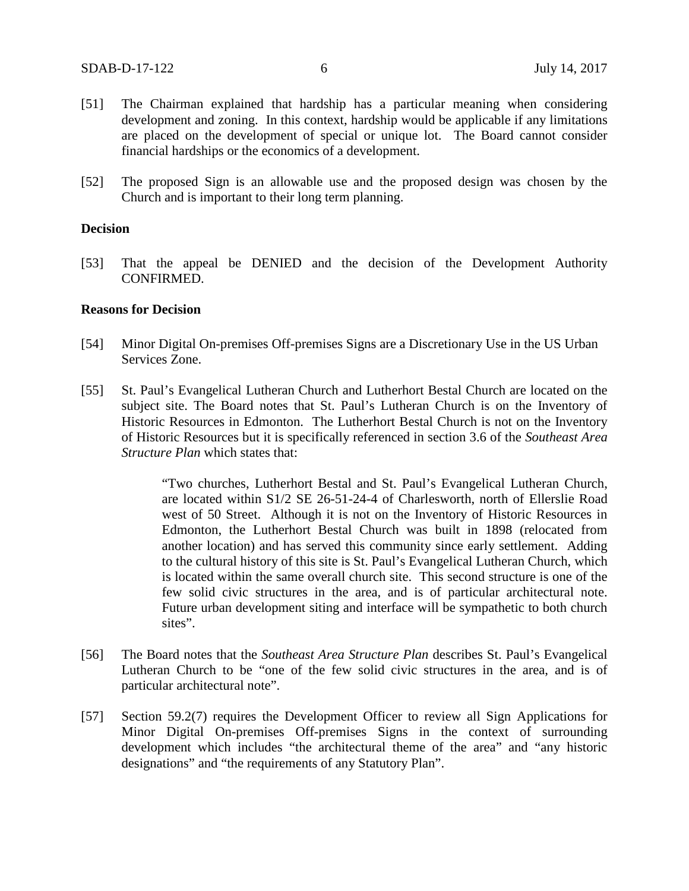- [51] The Chairman explained that hardship has a particular meaning when considering development and zoning. In this context, hardship would be applicable if any limitations are placed on the development of special or unique lot. The Board cannot consider financial hardships or the economics of a development.
- [52] The proposed Sign is an allowable use and the proposed design was chosen by the Church and is important to their long term planning.

### **Decision**

[53] That the appeal be DENIED and the decision of the Development Authority CONFIRMED.

#### **Reasons for Decision**

- [54] Minor Digital On-premises Off-premises Signs are a Discretionary Use in the US Urban Services Zone.
- [55] St. Paul's Evangelical Lutheran Church and Lutherhort Bestal Church are located on the subject site. The Board notes that St. Paul's Lutheran Church is on the Inventory of Historic Resources in Edmonton. The Lutherhort Bestal Church is not on the Inventory of Historic Resources but it is specifically referenced in section 3.6 of the *Southeast Area Structure Plan* which states that:

"Two churches, Lutherhort Bestal and St. Paul's Evangelical Lutheran Church, are located within S1/2 SE 26-51-24-4 of Charlesworth, north of Ellerslie Road west of 50 Street. Although it is not on the Inventory of Historic Resources in Edmonton, the Lutherhort Bestal Church was built in 1898 (relocated from another location) and has served this community since early settlement. Adding to the cultural history of this site is St. Paul's Evangelical Lutheran Church, which is located within the same overall church site. This second structure is one of the few solid civic structures in the area, and is of particular architectural note. Future urban development siting and interface will be sympathetic to both church sites".

- [56] The Board notes that the *Southeast Area Structure Plan* describes St. Paul's Evangelical Lutheran Church to be "one of the few solid civic structures in the area, and is of particular architectural note".
- [57] Section 59.2(7) requires the Development Officer to review all Sign Applications for Minor Digital On-premises Off-premises Signs in the context of surrounding development which includes "the architectural theme of the area" and "any historic designations" and "the requirements of any Statutory Plan".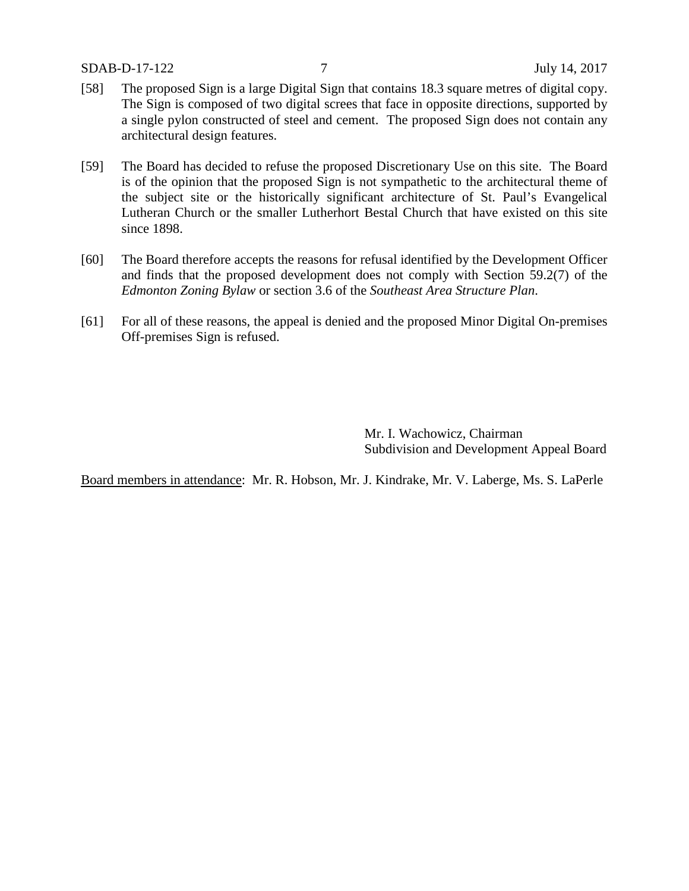SDAB-D-17-122 7 July 14, 2017

- [58] The proposed Sign is a large Digital Sign that contains 18.3 square metres of digital copy. The Sign is composed of two digital screes that face in opposite directions, supported by a single pylon constructed of steel and cement. The proposed Sign does not contain any architectural design features.
- [59] The Board has decided to refuse the proposed Discretionary Use on this site. The Board is of the opinion that the proposed Sign is not sympathetic to the architectural theme of the subject site or the historically significant architecture of St. Paul's Evangelical Lutheran Church or the smaller Lutherhort Bestal Church that have existed on this site since 1898.
- [60] The Board therefore accepts the reasons for refusal identified by the Development Officer and finds that the proposed development does not comply with Section 59.2(7) of the *Edmonton Zoning Bylaw* or section 3.6 of the *Southeast Area Structure Plan*.
- [61] For all of these reasons, the appeal is denied and the proposed Minor Digital On-premises Off-premises Sign is refused.

Mr. I. Wachowicz, Chairman Subdivision and Development Appeal Board

Board members in attendance: Mr. R. Hobson, Mr. J. Kindrake, Mr. V. Laberge, Ms. S. LaPerle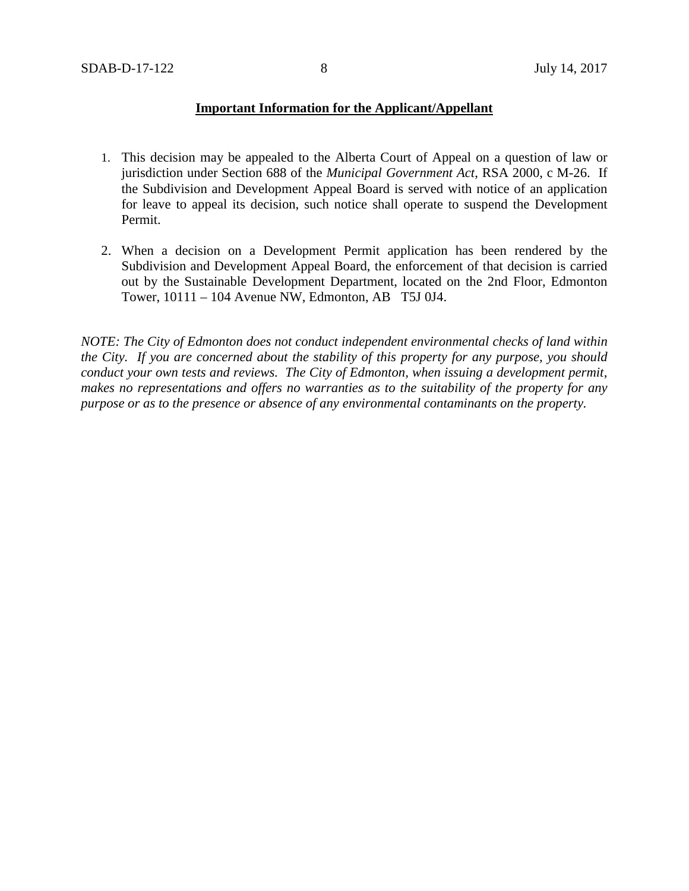## **Important Information for the Applicant/Appellant**

- 1. This decision may be appealed to the Alberta Court of Appeal on a question of law or jurisdiction under Section 688 of the *Municipal Government Act*, RSA 2000, c M-26. If the Subdivision and Development Appeal Board is served with notice of an application for leave to appeal its decision, such notice shall operate to suspend the Development Permit.
- 2. When a decision on a Development Permit application has been rendered by the Subdivision and Development Appeal Board, the enforcement of that decision is carried out by the Sustainable Development Department, located on the 2nd Floor, Edmonton Tower, 10111 – 104 Avenue NW, Edmonton, AB T5J 0J4.

*NOTE: The City of Edmonton does not conduct independent environmental checks of land within the City. If you are concerned about the stability of this property for any purpose, you should conduct your own tests and reviews. The City of Edmonton, when issuing a development permit, makes no representations and offers no warranties as to the suitability of the property for any purpose or as to the presence or absence of any environmental contaminants on the property.*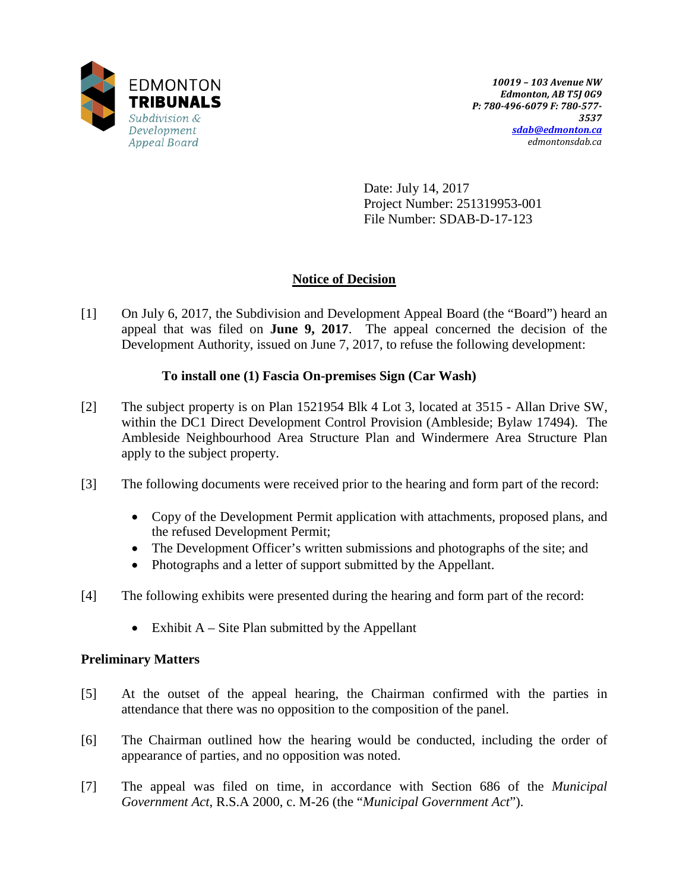

Date: July 14, 2017 Project Number: 251319953-001 File Number: SDAB-D-17-123

# **Notice of Decision**

[1] On July 6, 2017, the Subdivision and Development Appeal Board (the "Board") heard an appeal that was filed on **June 9, 2017**. The appeal concerned the decision of the Development Authority, issued on June 7, 2017, to refuse the following development:

## **To install one (1) Fascia On-premises Sign (Car Wash)**

- [2] The subject property is on Plan 1521954 Blk 4 Lot 3, located at 3515 Allan Drive SW, within the DC1 Direct Development Control Provision (Ambleside; Bylaw 17494). The Ambleside Neighbourhood Area Structure Plan and Windermere Area Structure Plan apply to the subject property.
- [3] The following documents were received prior to the hearing and form part of the record:
	- Copy of the Development Permit application with attachments, proposed plans, and the refused Development Permit;
	- The Development Officer's written submissions and photographs of the site; and
	- Photographs and a letter of support submitted by the Appellant.
- [4] The following exhibits were presented during the hearing and form part of the record:
	- Exhibit  $A S$  ite Plan submitted by the Appellant

## **Preliminary Matters**

- [5] At the outset of the appeal hearing, the Chairman confirmed with the parties in attendance that there was no opposition to the composition of the panel.
- [6] The Chairman outlined how the hearing would be conducted, including the order of appearance of parties, and no opposition was noted.
- [7] The appeal was filed on time, in accordance with Section 686 of the *Municipal Government Act*, R.S.A 2000, c. M-26 (the "*Municipal Government Act*").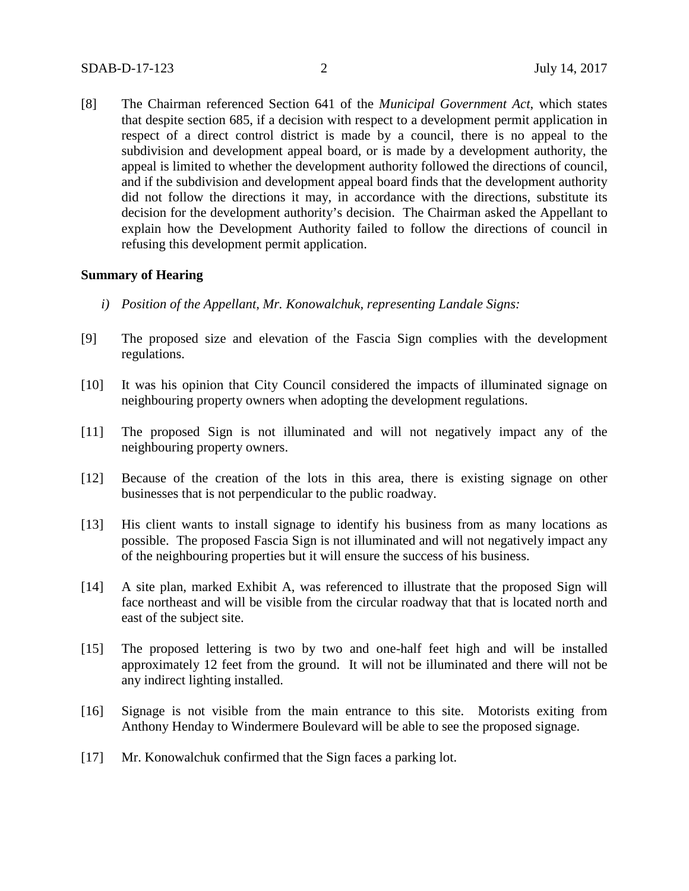[8] The Chairman referenced Section 641 of the *Municipal Government Act*, which states that despite section 685, if a decision with respect to a development permit application in respect of a direct control district is made by a council, there is no appeal to the subdivision and development appeal board, or is made by a development authority, the appeal is limited to whether the development authority followed the directions of council, and if the subdivision and development appeal board finds that the development authority did not follow the directions it may, in accordance with the directions, substitute its decision for the development authority's decision. The Chairman asked the Appellant to explain how the Development Authority failed to follow the directions of council in refusing this development permit application.

### **Summary of Hearing**

- *i) Position of the Appellant, Mr. Konowalchuk, representing Landale Signs:*
- [9] The proposed size and elevation of the Fascia Sign complies with the development regulations.
- [10] It was his opinion that City Council considered the impacts of illuminated signage on neighbouring property owners when adopting the development regulations.
- [11] The proposed Sign is not illuminated and will not negatively impact any of the neighbouring property owners.
- [12] Because of the creation of the lots in this area, there is existing signage on other businesses that is not perpendicular to the public roadway.
- [13] His client wants to install signage to identify his business from as many locations as possible. The proposed Fascia Sign is not illuminated and will not negatively impact any of the neighbouring properties but it will ensure the success of his business.
- [14] A site plan, marked Exhibit A, was referenced to illustrate that the proposed Sign will face northeast and will be visible from the circular roadway that that is located north and east of the subject site.
- [15] The proposed lettering is two by two and one-half feet high and will be installed approximately 12 feet from the ground. It will not be illuminated and there will not be any indirect lighting installed.
- [16] Signage is not visible from the main entrance to this site. Motorists exiting from Anthony Henday to Windermere Boulevard will be able to see the proposed signage.
- [17] Mr. Konowalchuk confirmed that the Sign faces a parking lot.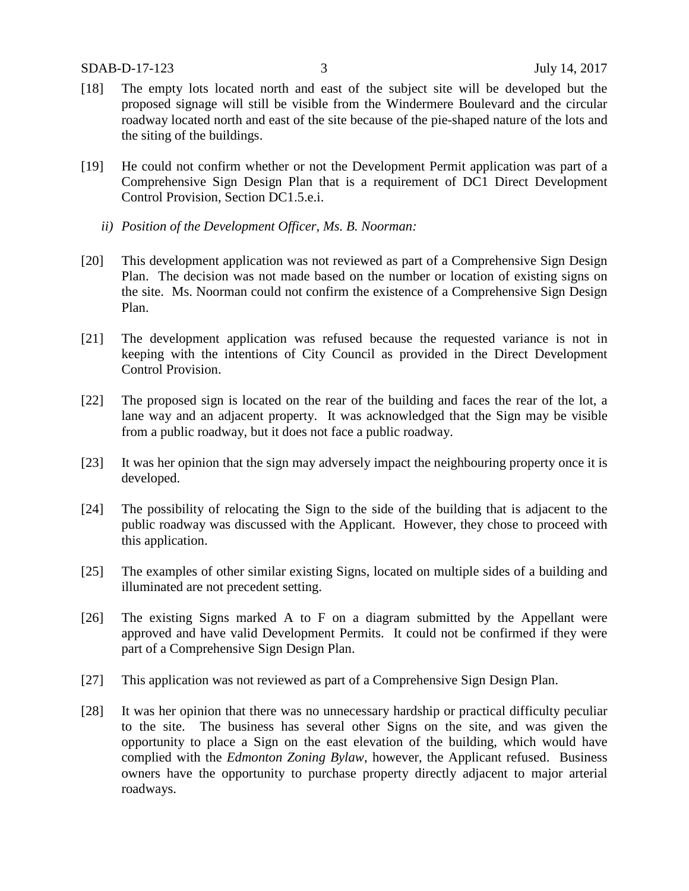- [18] The empty lots located north and east of the subject site will be developed but the proposed signage will still be visible from the Windermere Boulevard and the circular roadway located north and east of the site because of the pie-shaped nature of the lots and the siting of the buildings.
- [19] He could not confirm whether or not the Development Permit application was part of a Comprehensive Sign Design Plan that is a requirement of DC1 Direct Development Control Provision, Section DC1.5.e.i.
	- *ii) Position of the Development Officer, Ms. B. Noorman:*
- [20] This development application was not reviewed as part of a Comprehensive Sign Design Plan. The decision was not made based on the number or location of existing signs on the site. Ms. Noorman could not confirm the existence of a Comprehensive Sign Design Plan.
- [21] The development application was refused because the requested variance is not in keeping with the intentions of City Council as provided in the Direct Development Control Provision.
- [22] The proposed sign is located on the rear of the building and faces the rear of the lot, a lane way and an adjacent property. It was acknowledged that the Sign may be visible from a public roadway, but it does not face a public roadway.
- [23] It was her opinion that the sign may adversely impact the neighbouring property once it is developed.
- [24] The possibility of relocating the Sign to the side of the building that is adjacent to the public roadway was discussed with the Applicant. However, they chose to proceed with this application.
- [25] The examples of other similar existing Signs, located on multiple sides of a building and illuminated are not precedent setting.
- [26] The existing Signs marked A to F on a diagram submitted by the Appellant were approved and have valid Development Permits. It could not be confirmed if they were part of a Comprehensive Sign Design Plan.
- [27] This application was not reviewed as part of a Comprehensive Sign Design Plan.
- [28] It was her opinion that there was no unnecessary hardship or practical difficulty peculiar to the site. The business has several other Signs on the site, and was given the opportunity to place a Sign on the east elevation of the building, which would have complied with the *Edmonton Zoning Bylaw*, however, the Applicant refused. Business owners have the opportunity to purchase property directly adjacent to major arterial roadways.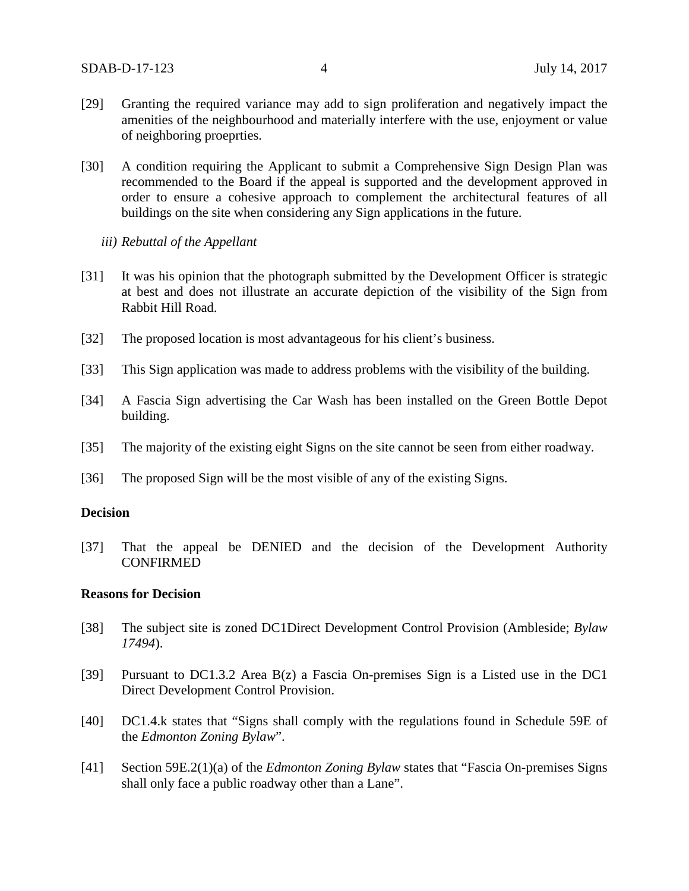- [29] Granting the required variance may add to sign proliferation and negatively impact the amenities of the neighbourhood and materially interfere with the use, enjoyment or value of neighboring proeprties.
- [30] A condition requiring the Applicant to submit a Comprehensive Sign Design Plan was recommended to the Board if the appeal is supported and the development approved in order to ensure a cohesive approach to complement the architectural features of all buildings on the site when considering any Sign applications in the future.
	- *iii) Rebuttal of the Appellant*
- [31] It was his opinion that the photograph submitted by the Development Officer is strategic at best and does not illustrate an accurate depiction of the visibility of the Sign from Rabbit Hill Road.
- [32] The proposed location is most advantageous for his client's business.
- [33] This Sign application was made to address problems with the visibility of the building.
- [34] A Fascia Sign advertising the Car Wash has been installed on the Green Bottle Depot building.
- [35] The majority of the existing eight Signs on the site cannot be seen from either roadway.
- [36] The proposed Sign will be the most visible of any of the existing Signs.

### **Decision**

[37] That the appeal be DENIED and the decision of the Development Authority CONFIRMED

### **Reasons for Decision**

- [38] The subject site is zoned DC1Direct Development Control Provision (Ambleside; *Bylaw 17494*).
- [39] Pursuant to DC1.3.2 Area B(z) a Fascia On-premises Sign is a Listed use in the DC1 Direct Development Control Provision.
- [40] DC1.4.k states that "Signs shall comply with the regulations found in Schedule 59E of the *Edmonton Zoning Bylaw*".
- [41] Section 59E.2(1)(a) of the *Edmonton Zoning Bylaw* states that "Fascia On-premises Signs shall only face a public roadway other than a Lane".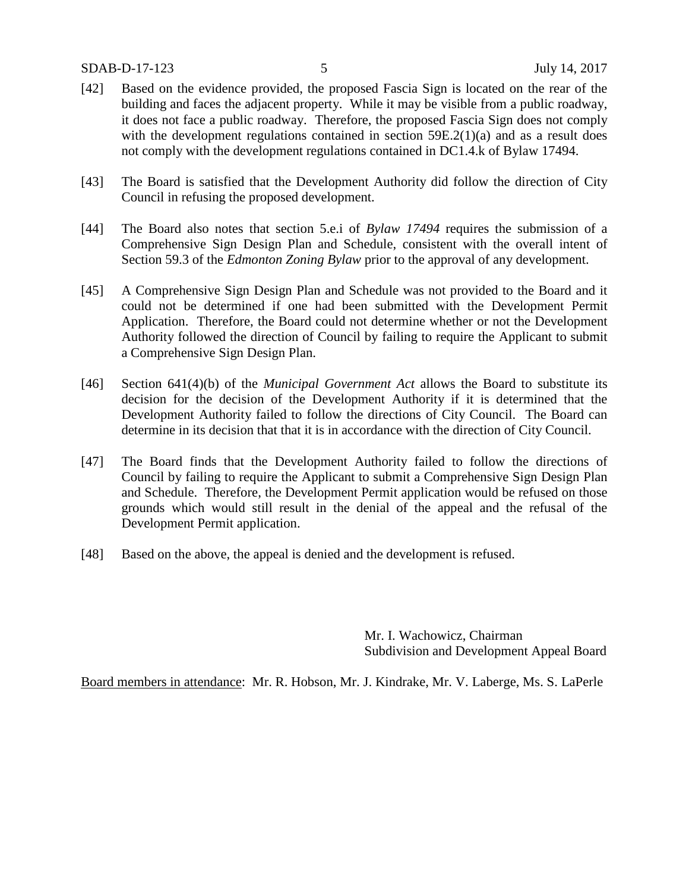- [42] Based on the evidence provided, the proposed Fascia Sign is located on the rear of the building and faces the adjacent property. While it may be visible from a public roadway, it does not face a public roadway. Therefore, the proposed Fascia Sign does not comply with the development regulations contained in section 59E.2(1)(a) and as a result does not comply with the development regulations contained in DC1.4.k of Bylaw 17494.
- [43] The Board is satisfied that the Development Authority did follow the direction of City Council in refusing the proposed development.
- [44] The Board also notes that section 5.e.i of *Bylaw 17494* requires the submission of a Comprehensive Sign Design Plan and Schedule, consistent with the overall intent of Section 59.3 of the *Edmonton Zoning Bylaw* prior to the approval of any development.
- [45] A Comprehensive Sign Design Plan and Schedule was not provided to the Board and it could not be determined if one had been submitted with the Development Permit Application. Therefore, the Board could not determine whether or not the Development Authority followed the direction of Council by failing to require the Applicant to submit a Comprehensive Sign Design Plan.
- [46] Section 641(4)(b) of the *Municipal Government Act* allows the Board to substitute its decision for the decision of the Development Authority if it is determined that the Development Authority failed to follow the directions of City Council. The Board can determine in its decision that that it is in accordance with the direction of City Council.
- [47] The Board finds that the Development Authority failed to follow the directions of Council by failing to require the Applicant to submit a Comprehensive Sign Design Plan and Schedule. Therefore, the Development Permit application would be refused on those grounds which would still result in the denial of the appeal and the refusal of the Development Permit application.
- [48] Based on the above, the appeal is denied and the development is refused.

Mr. I. Wachowicz, Chairman Subdivision and Development Appeal Board

Board members in attendance: Mr. R. Hobson, Mr. J. Kindrake, Mr. V. Laberge, Ms. S. LaPerle